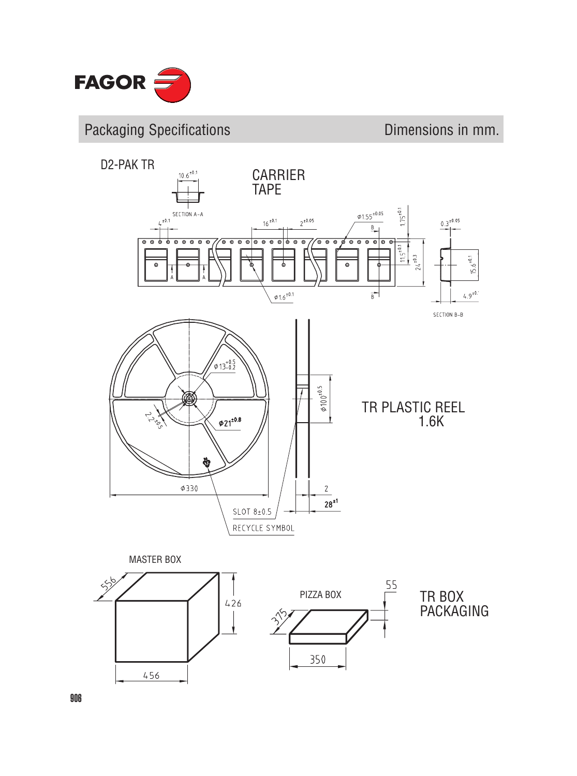

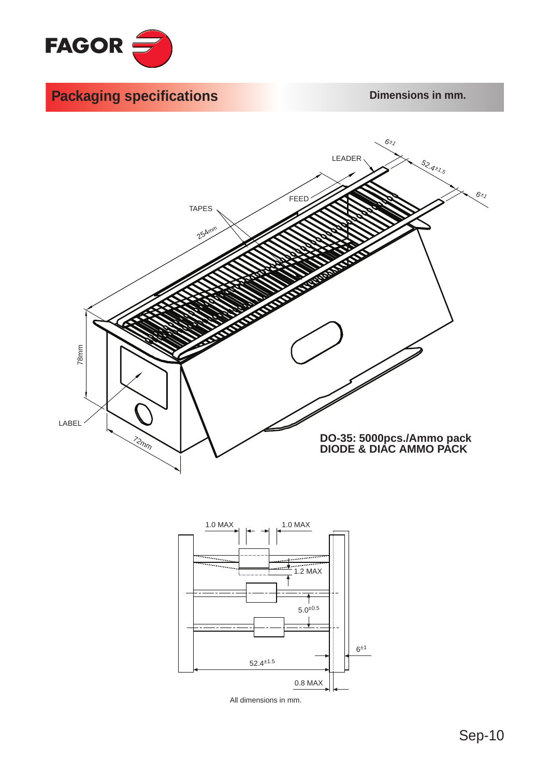





All dimensions in mm.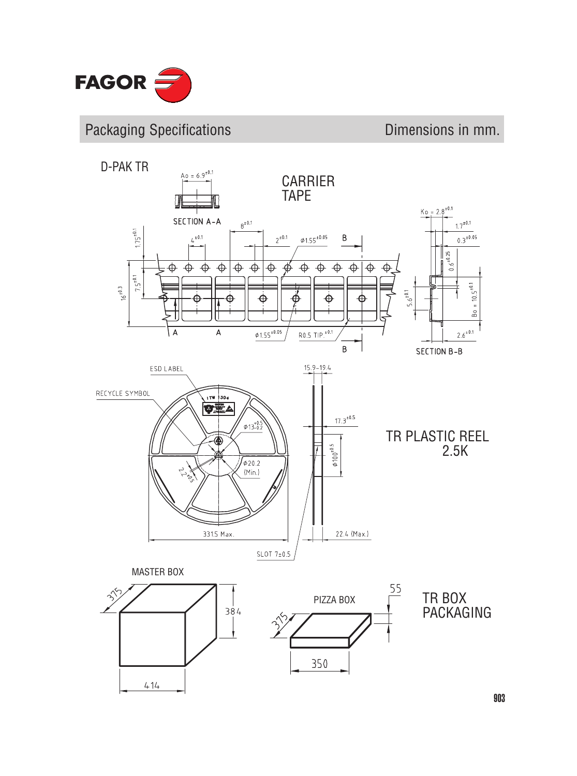

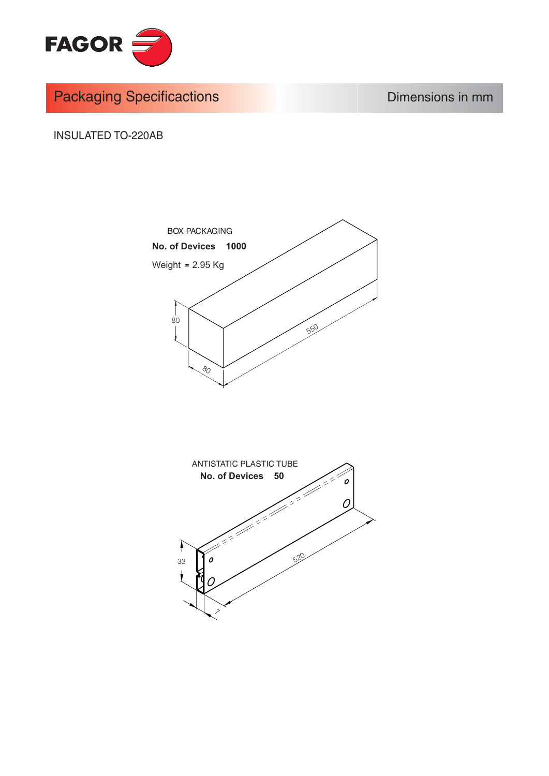

**Packaging Specificactions** 

Dimensions in mm

**INSULATED TO-220AB** 



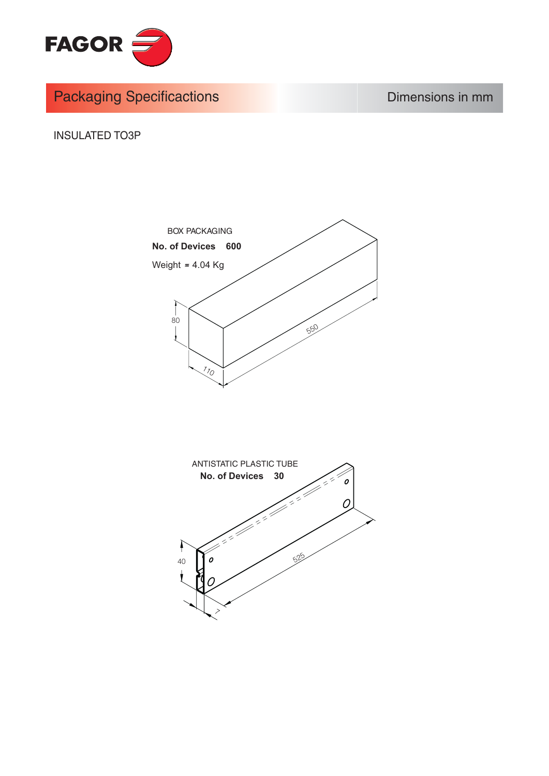

**Packaging Specificactions** 

Dimensions in mm

**INSULATED TO3P** 



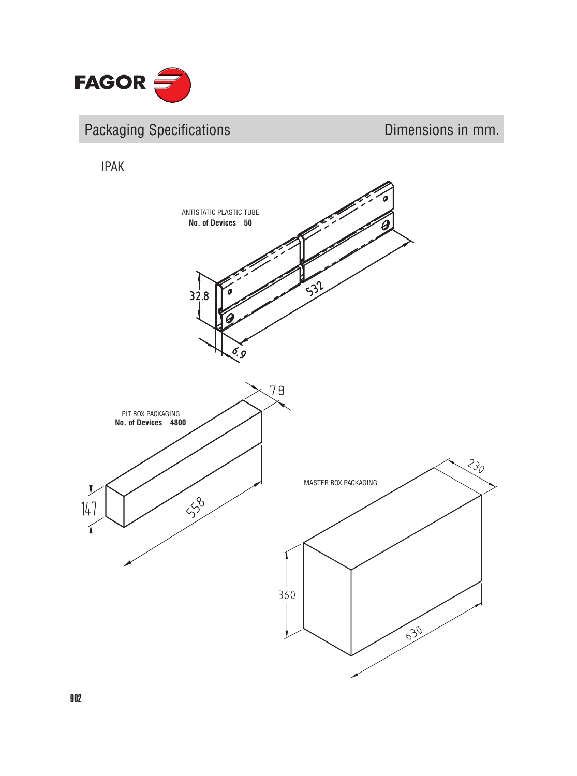

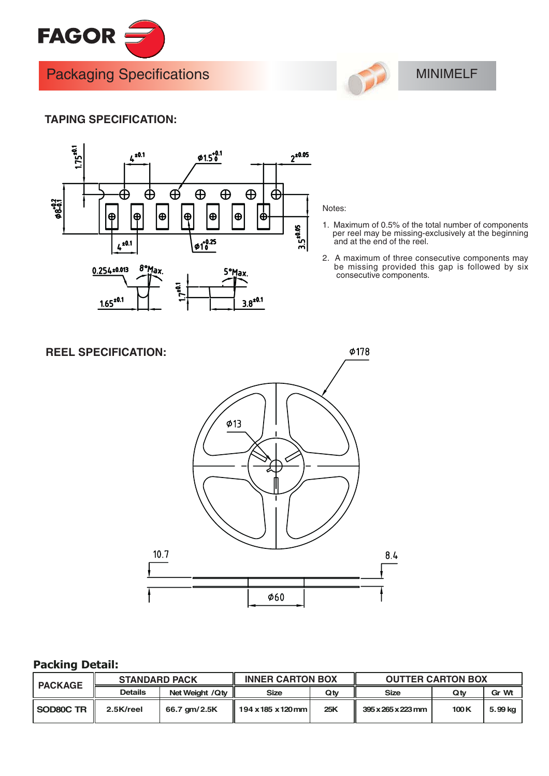



## **MINIMELF**

## **TAPING SPECIFICATION:**



## Notes:

- 1. Maximum of 0.5% of the total number of components per reel may be missing-exclusively at the beginning<br>and at the end of the reel.
- 2. A maximum of three consecutive components may be missing provided this gap is followed by six<br>consecutive components.



## **Packing Detail:**

| <b>PACKAGE</b> | <b>STANDARD PACK</b> |                   | <b>INNER CARTON BOX</b> |     | <b>OUTTER CARTON BOX</b>       |      |         |
|----------------|----------------------|-------------------|-------------------------|-----|--------------------------------|------|---------|
|                | <b>Details</b>       | Net Weight / Q ty | <b>Size</b>             | Qtv | Size                           | Qtv  | Gr Wt   |
| SOD80C TR      | 2.5K/reel            | 66.7 qm/2.5K      | 194 x 185 x 120 mm l    | 25K | $395 \times 265 \times 223$ mm | 100K | 5.99 kg |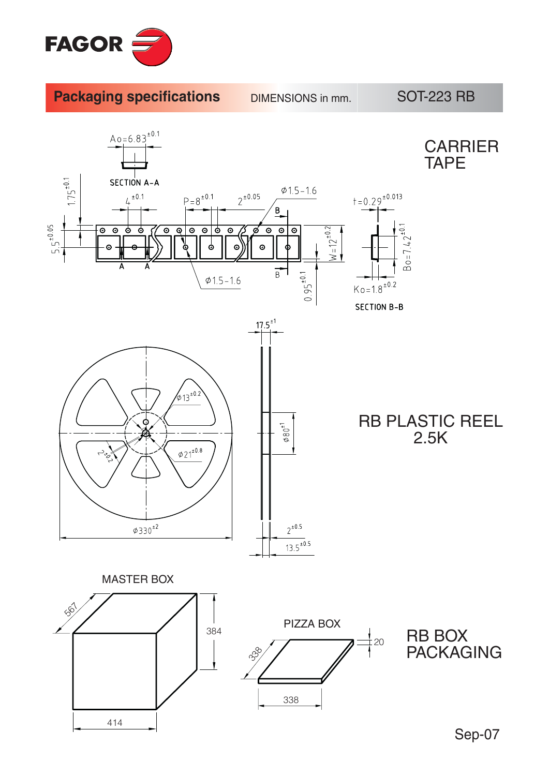

**Packaging specifications** 

**DIMENSIONS** in mm.

**SOT-223 RB** 

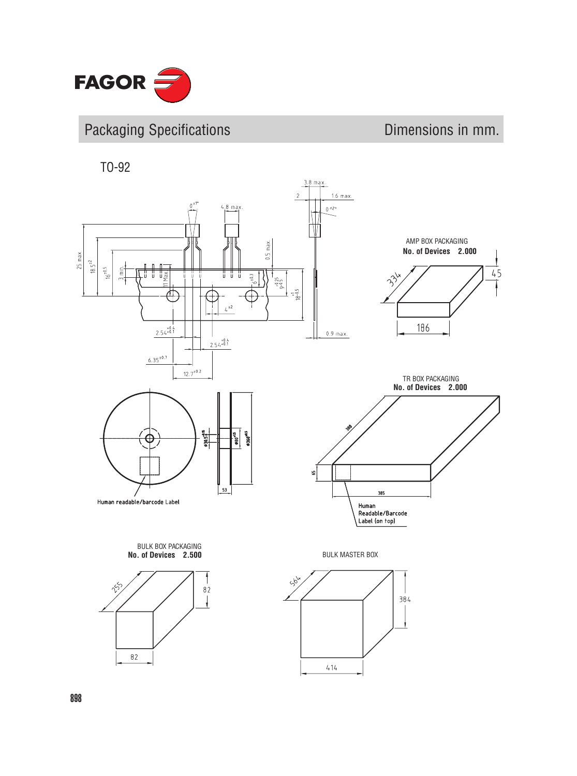

TO-92

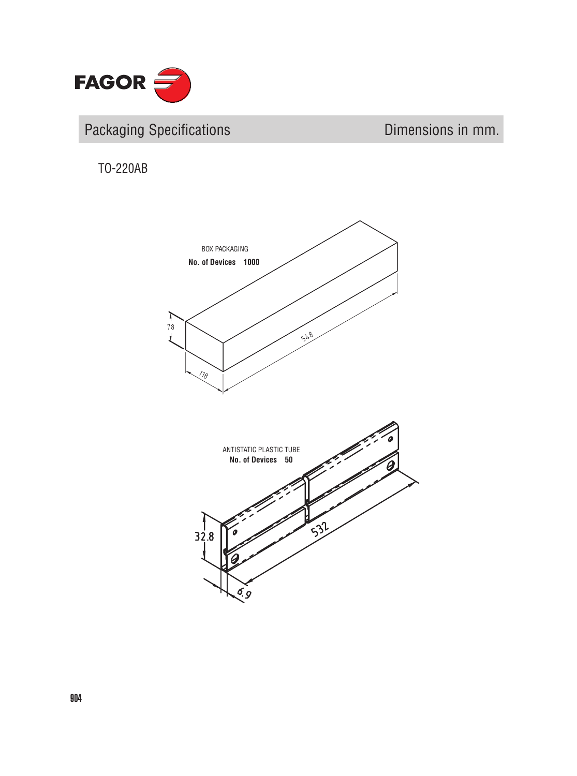

TO-220AB

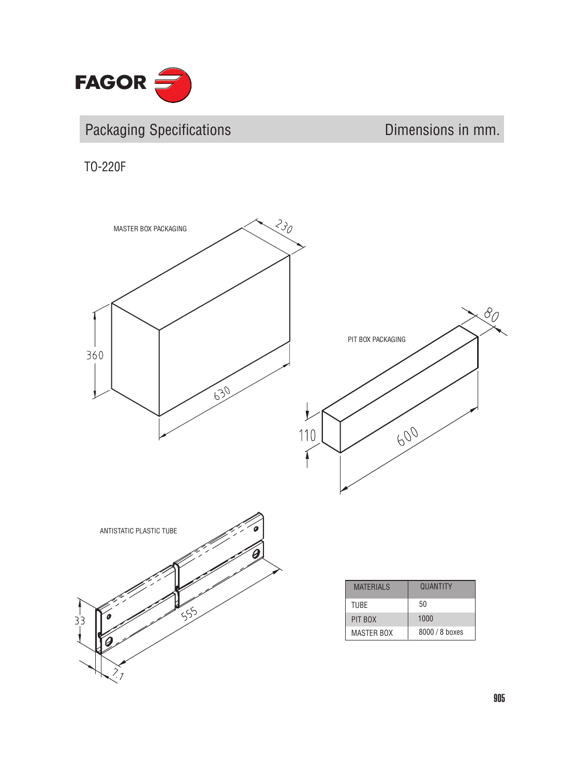

# Packaging Specifications **Dimensions** Dimensions in mm.

TO-220F